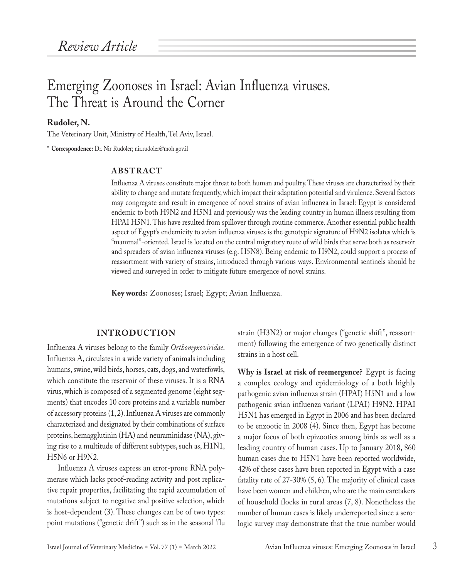# Emerging Zoonoses in Israel: Avian Influenza viruses. The Threat is Around the Corner

**Rudoler, N.**

The Veterinary Unit, Ministry of Health, Tel Aviv, Israel.

**\* Correspondence:** Dr. Nir Rudoler; nir.rudoler@moh.gov.il

#### **ABSTRACT**

Influenza A viruses constitute major threat to both human and poultry. These viruses are characterized by their ability to change and mutate frequently, which impact their adaptation potential and virulence. Several factors may congregate and result in emergence of novel strains of avian influenza in Israel: Egypt is considered endemic to both H9N2 and H5N1 and previously was the leading country in human illness resulting from HPAI H5N1. This have resulted from spillover through routine commerce. Another essential public health aspect of Egypt's endemicity to avian influenza viruses is the genotypic signature of H9N2 isolates which is "mammal"-oriented. Israel is located on the central migratory route of wild birds that serve both as reservoir and spreaders of avian influenza viruses (e.g. H5N8). Being endemic to H9N2, could support a process of reassortment with variety of strains, introduced through various ways. Environmental sentinels should be viewed and surveyed in order to mitigate future emergence of novel strains.

**Key words:** Zoonoses; Israel; Egypt; Avian Influenza.

## **INTRODUCTION**

Influenza A viruses belong to the family *Orthomyxoviridae*. Influenza A, circulates in a wide variety of animals including humans, swine, wild birds, horses, cats, dogs, and waterfowls, which constitute the reservoir of these viruses. It is a RNA virus, which is composed of a segmented genome (eight segments) that encodes 10 core proteins and a variable number of accessory proteins (1, 2). Influenza A viruses are commonly characterized and designated by their combinations of surface proteins, hemagglutinin (HA) and neuraminidase (NA), giving rise to a multitude of different subtypes, such as, H1N1, H5N6 or H9N2.

Influenza A viruses express an error-prone RNA polymerase which lacks proof-reading activity and post replicative repair properties, facilitating the rapid accumulation of mutations subject to negative and positive selection, which is host-dependent (3). These changes can be of two types: point mutations ("genetic drift") such as in the seasonal 'flu

strain (H3N2) or major changes ("genetic shift", reassortment) following the emergence of two genetically distinct strains in a host cell.

**Why is Israel at risk of reemergence?** Egypt is facing a complex ecology and epidemiology of a both highly pathogenic avian influenza strain (HPAI) H5N1 and a low pathogenic avian influenza variant (LPAI) H9N2. HPAI H5N1 has emerged in Egypt in 2006 and has been declared to be enzootic in 2008 (4). Since then, Egypt has become a major focus of both epizootics among birds as well as a leading country of human cases. Up to January 2018, 860 human cases due to H5N1 have been reported worldwide, 42% of these cases have been reported in Egypt with a case fatality rate of 27-30% (5, 6). The majority of clinical cases have been women and children, who are the main caretakers of household flocks in rural areas (7, 8). Nonetheless the number of human cases is likely underreported since a serologic survey may demonstrate that the true number would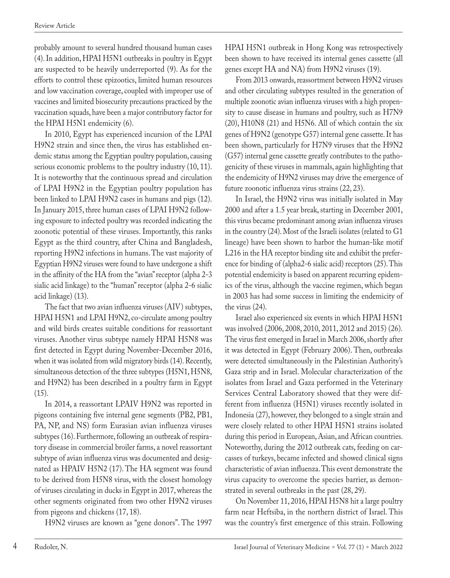probably amount to several hundred thousand human cases (4). In addition, HPAI H5N1 outbreaks in poultry in Egypt are suspected to be heavily underreported (9). As for the efforts to control these epizootics, limited human resources and low vaccination coverage, coupled with improper use of vaccines and limited biosecurity precautions practiced by the vaccination squads, have been a major contributory factor for the HPAI H5N1 endemicity (6).

In 2010, Egypt has experienced incursion of the LPAI H9N2 strain and since then, the virus has established endemic status among the Egyptian poultry population, causing serious economic problems to the poultry industry (10, 11). It is noteworthy that the continuous spread and circulation of LPAI H9N2 in the Egyptian poultry population has been linked to LPAI H9N2 cases in humans and pigs (12). In January 2015, three human cases of LPAI H9N2 following exposure to infected poultry was recorded indicating the zoonotic potential of these viruses. Importantly, this ranks Egypt as the third country, after China and Bangladesh, reporting H9N2 infections in humans. The vast majority of Egyptian H9N2 viruses were found to have undergone a shift in the affinity of the HA from the "avian" receptor (alpha 2-3 sialic acid linkage) to the "human" receptor (alpha 2-6 sialic acid linkage) (13).

The fact that two avian influenza viruses (AIV) subtypes, HPAI H5N1 and LPAI H9N2, co-circulate among poultry and wild birds creates suitable conditions for reassortant viruses. Another virus subtype namely HPAI H5N8 was first detected in Egypt during November-December 2016, when it was isolated from wild migratory birds (14). Recently, simultaneous detection of the three subtypes (H5N1, H5N8, and H9N2) has been described in a poultry farm in Egypt  $(15).$ 

In 2014, a reassortant LPAIV H9N2 was reported in pigeons containing five internal gene segments (PB2, PB1, PA, NP, and NS) form Eurasian avian influenza viruses subtypes (16). Furthermore, following an outbreak of respiratory disease in commercial broiler farms, a novel reassortant subtype of avian influenza virus was documented and designated as HPAIV H5N2 (17). The HA segment was found to be derived from H5N8 virus, with the closest homology of viruses circulating in ducks in Egypt in 2017, whereas the other segments originated from two other H9N2 viruses from pigeons and chickens (17, 18).

H9N2 viruses are known as "gene donors". The 1997

HPAI H5N1 outbreak in Hong Kong was retrospectively been shown to have received its internal genes cassette (all genes except HA and NA) from H9N2 viruses (19).

From 2013 onwards, reassortment between H9N2 viruses and other circulating subtypes resulted in the generation of multiple zoonotic avian influenza viruses with a high propensity to cause disease in humans and poultry, such as H7N9 (20), H10N8 (21) and H5N6. All of which contain the six genes of H9N2 (genotype G57) internal gene cassette. It has been shown, particularly for H7N9 viruses that the H9N2 (G57) internal gene cassette greatly contributes to the pathogenicity of these viruses in mammals, again highlighting that the endemicity of H9N2 viruses may drive the emergence of future zoonotic influenza virus strains (22, 23).

In Israel, the H9N2 virus was initially isolated in May 2000 and after a 1.5 year break, starting in December 2001, this virus became predominant among avian influenza viruses in the country (24). Most of the Israeli isolates (related to G1 lineage) have been shown to harbor the human-like motif L216 in the HA receptor binding site and exhibit the preference for binding of (alpha2-6 sialic acid) receptors (25). This potential endemicity is based on apparent recurring epidemics of the virus, although the vaccine regimen, which began in 2003 has had some success in limiting the endemicity of the virus (24).

Israel also experienced six events in which HPAI H5N1 was involved (2006, 2008, 2010, 2011, 2012 and 2015) (26). The virus first emerged in Israel in March 2006, shortly after it was detected in Egypt (February 2006). Then, outbreaks were detected simultaneously in the Palestinian Authority's Gaza strip and in Israel. Molecular characterization of the isolates from Israel and Gaza performed in the Veterinary Services Central Laboratory showed that they were different from influenza (H5N1) viruses recently isolated in Indonesia (27), however, they belonged to a single strain and were closely related to other HPAI H5N1 strains isolated during this period in European, Asian, and African countries. Noteworthy, during the 2012 outbreak cats, feeding on carcasses of turkeys, became infected and showed clinical signs characteristic of avian influenza. This event demonstrate the virus capacity to overcome the species barrier, as demonstrated in several outbreaks in the past (28, 29).

On November 11, 2016, HPAI H5N8 hit a large poultry farm near Heftsiba, in the northern district of Israel. This was the country's first emergence of this strain. Following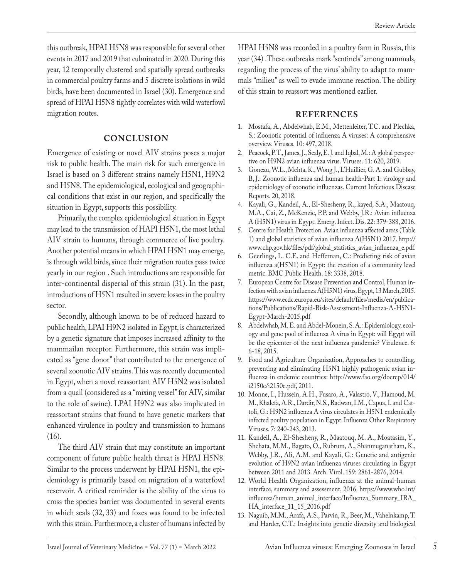this outbreak, HPAI H5N8 was responsible for several other events in 2017 and 2019 that culminated in 2020. During this year, 12 temporally clustered and spatially spread outbreaks in commercial poultry farms and 5 discrete isolations in wild birds, have been documented in Israel (30). Emergence and spread of HPAI H5N8 tightly correlates with wild waterfowl migration routes.

#### **CONCLUSION**

Emergence of existing or novel AIV strains poses a major risk to public health. The main risk for such emergence in Israel is based on 3 different strains namely H5N1, H9N2 and H5N8. The epidemiological, ecological and geographical conditions that exist in our region, and specifically the situation in Egypt, supports this possibility.

Primarily, the complex epidemiological situation in Egypt may lead to the transmission of HAPI H5N1, the most lethal AIV strain to humans, through commerce of live poultry. Another potential means in which HPAI H5N1 may emerge, is through wild birds, since their migration routes pass twice yearly in our region . Such introductions are responsible for inter-continental dispersal of this strain (31). In the past, introductions of H5N1 resulted in severe losses in the poultry sector.

Secondly, although known to be of reduced hazard to public health, LPAI H9N2 isolated in Egypt, is characterized by a genetic signature that imposes increased affinity to the mammailan receptor. Furthermore, this strain was implicated as "gene donor" that contributed to the emergence of several zoonotic AIV strains. This was recently documented in Egypt, when a novel reassortant AIV H5N2 was isolated from a quail (considered as a "mixing vessel" for AIV, similar to the role of swine). LPAI H9N2 was also implicated in reassortant strains that found to have genetic markers that enhanced virulence in poultry and transmission to humans (16).

The third AIV strain that may constitute an important component of future public health threat is HPAI H5N8. Similar to the process underwent by HPAI H5N1, the epidemiology is primarily based on migration of a waterfowl reservoir. A critical reminder is the ability of the virus to cross the species barrier was documented in several events in which seals (32, 33) and foxes was found to be infected with this strain. Furthermore, a cluster of humans infected by HPAI H5N8 was recorded in a poultry farm in Russia, this year (34) .These outbreaks mark "sentinels" among mammals, regarding the process of the virus' ability to adapt to mammals "milieu" as well to evade immune reaction. The ability of this strain to reassort was mentioned earlier.

### **REFERENCES**

- 1. Mostafa, A., Abdelwhab, E.M., Mettenleiter, T.C. and Plechka, S.: Zoonotic potential of influenza A viruses: A comprehensive overview. Viruses. 10: 497, 2018.
- 2. Peacock, P.T., James, J., Sealy, E.J. and Iqbal, M.: A global perspective on H9N2 avian influenza virus. Viruses. 11: 620, 2019.
- 3. Goneau, W.L., Mehta, K., Wong J., L'Huillier, G. A. and Gubbay, B, J.: Zoonotic influenza and human health-Part 1: virology and epidemiology of zoonotic influenzas. Current Infectious Disease Reports. 20, 2018.
- 4. Kayali, G., Kandeil, A., El-Shesheny, R., kayed, S.A., Maatouq, M.A., Cai, Z., McKenzie, P.P. and Webby, J.R.: Avian influenza A (H5N1) virus in Egypt. Emerg. Infect. Dis. 22: 379-388, 2016.
- 5. Centre for Health Protection. Avian influenza affected areas (Table 1) and global statistics of avian influenza A(H5N1) 2017. http:// www.chp.gov.hk/files/pdf/global\_statistics\_avian\_influenza\_e.pdf.
- 6. Geerlings, L. C.E. and Heffernan, C.: Predicting risk of avian influenza a(H5N1) in Egypt: the creation of a community level metric. BMC Public Health. 18: 3338, 2018.
- 7. European Centre for Disease Prevention and Control, Human infection with avian influenza A(H5N1) virus, Egypt, 13 March, 2015. https://www.ecdc.europa.eu/sites/default/files/media/en/publications/Publications/Rapid-Risk-Assessment-Influenza-A-H5N1- Egypt-March-2015.pdf
- 8. Abdelwhab, M. E. and Abdel-Monein, S. A.: Epidemiology, ecology and gene pool of influenza A virus in Egypt: will Egypt will be the epicenter of the next influenza pandemic? Virulence. 6: 6-18, 2015.
- 9. Food and Agriculture Organization, Approaches to controlling, preventing and eliminating H5N1 highly pathogenic avian influenza in endemic countries: http://www.fao.org/docrep/014/ i2150e/i2150e.pdf, 2011.
- 10. Monne, I., Hussein, A.H., Fusaro, A., Valastro, V., Hamoud, M. M., Khalefa, A.R., Dardir, N.S., Radwan, I.M., Capua, I. and Cattoli, G.: H9N2 influenza A virus circulates in H5N1 endemically infected poultry population in Egypt. Influenza Other Respiratory Viruses. 7: 240-243, 2013.
- 11. Kandeil, A., El-Shesheny, R., Maatouq, M. A., Moatasim, Y., Shehata, M.M., Bagato, O., Rubrum, A., Shanmuganatham, K., Webby, J.R., Ali, A.M. and Kayali, G.: Genetic and antigenic evolution of H9N2 avian influenza viruses circulating in Egypt between 2011 and 2013. Arch. Virol. 159: 2861-2876, 2014.
- 12. World Health Organization, influenza at the animal-human interface, summary and assessment, 2016. https://www.who.int/ influenza/human\_animal\_interface/Influenza\_Summary\_IRA\_ HA\_interface\_11\_15\_2016.pdf
- 13. Naguib, M.M., Arafa, A.S., Parvin, R., Beer, M., Vahelnkamp, T. and Harder, C.T.: Insights into genetic diversity and biological